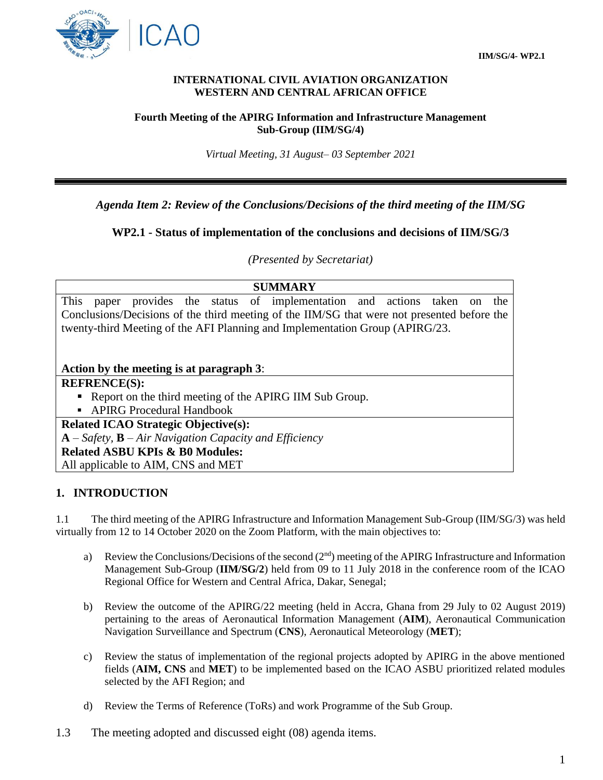

#### **INTERNATIONAL CIVIL AVIATION ORGANIZATION WESTERN AND CENTRAL AFRICAN OFFICE**

#### **Fourth Meeting of the APIRG Information and Infrastructure Management Sub-Group (IIM/SG/4)**

*Virtual Meeting, 31 August– 03 September 2021*

## *Agenda Item 2: Review of the Conclusions/Decisions of the third meeting of the IIM/SG*

## **WP2.1 - Status of implementation of the conclusions and decisions of IIM/SG/3**

*(Presented by Secretariat)*

## **SUMMARY**

This paper provides the status of implementation and actions taken on the Conclusions/Decisions of the third meeting of the IIM/SG that were not presented before the twenty-third Meeting of the AFI Planning and Implementation Group (APIRG/23.

### **Action by the meeting is at paragraph 3**:

## **REFRENCE(S):**

Report on the third meeting of the APIRG IIM Sub Group.

APIRG Procedural Handbook

**Related ICAO Strategic Objective(s): A** – *Safety,* **B** – *Air Navigation Capacity and Efficiency* **Related ASBU KPIs & B0 Modules:** 

All applicable to AIM, CNS and MET

## **1. INTRODUCTION**

1.1 The third meeting of the APIRG Infrastructure and Information Management Sub-Group (IIM/SG/3) was held virtually from 12 to 14 October 2020 on the Zoom Platform, with the main objectives to:

- a) Review the Conclusions/Decisions of the second  $(2<sup>nd</sup>)$  meeting of the APIRG Infrastructure and Information Management Sub-Group (**IIM/SG/2**) held from 09 to 11 July 2018 in the conference room of the ICAO Regional Office for Western and Central Africa, Dakar, Senegal;
- b) Review the outcome of the APIRG/22 meeting (held in Accra, Ghana from 29 July to 02 August 2019) pertaining to the areas of Aeronautical Information Management (**AIM**), Aeronautical Communication Navigation Surveillance and Spectrum (**CNS**), Aeronautical Meteorology (**MET**);
- c) Review the status of implementation of the regional projects adopted by APIRG in the above mentioned fields (**AIM, CNS** and **MET**) to be implemented based on the ICAO ASBU prioritized related modules selected by the AFI Region; and
- d) Review the Terms of Reference (ToRs) and work Programme of the Sub Group.
- 1.3 The meeting adopted and discussed eight (08) agenda items.